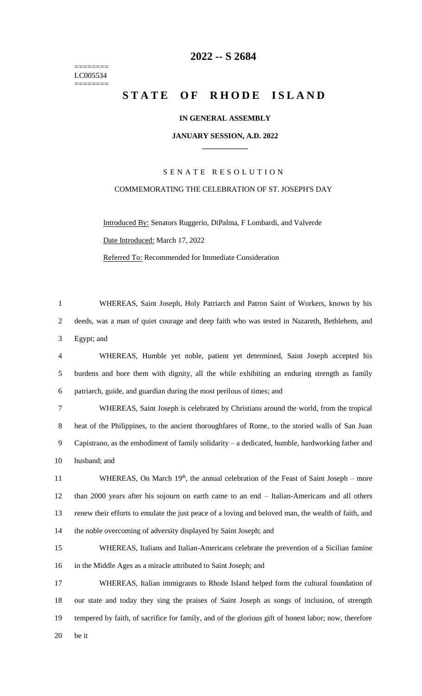======== LC005534 ========

### **-- S 2684**

## **STATE OF RHODE ISLAND**

#### **IN GENERAL ASSEMBLY**

#### **JANUARY SESSION, A.D. 2022 \_\_\_\_\_\_\_\_\_\_\_\_**

# S E N A T E R E S O L U T I O N COMMEMORATING THE CELEBRATION OF ST. JOSEPH'S DAY

Introduced By: Senators Ruggerio, DiPalma, F Lombardi, and Valverde Date Introduced: March 17, 2022 Referred To: Recommended for Immediate Consideration

 WHEREAS, Saint Joseph, Holy Patriarch and Patron Saint of Workers, known by his deeds, was a man of quiet courage and deep faith who was tested in Nazareth, Bethlehem, and Egypt; and

 WHEREAS, Humble yet noble, patient yet determined, Saint Joseph accepted his burdens and bore them with dignity, all the while exhibiting an enduring strength as family patriarch, guide, and guardian during the most perilous of times; and

 WHEREAS, Saint Joseph is celebrated by Christians around the world, from the tropical heat of the Philippines, to the ancient thoroughfares of Rome, to the storied walls of San Juan Capistrano, as the embodiment of family solidarity – a dedicated, humble, hardworking father and husband; and

11 WHEREAS, On March 19<sup>th</sup>, the annual celebration of the Feast of Saint Joseph – more than 2000 years after his sojourn on earth came to an end – Italian-Americans and all others renew their efforts to emulate the just peace of a loving and beloved man, the wealth of faith, and the noble overcoming of adversity displayed by Saint Joseph; and

 WHEREAS, Italians and Italian-Americans celebrate the prevention of a Sicilian famine in the Middle Ages as a miracle attributed to Saint Joseph; and

 WHEREAS, Italian immigrants to Rhode Island helped form the cultural foundation of our state and today they sing the praises of Saint Joseph as songs of inclusion, of strength tempered by faith, of sacrifice for family, and of the glorious gift of honest labor; now, therefore be it